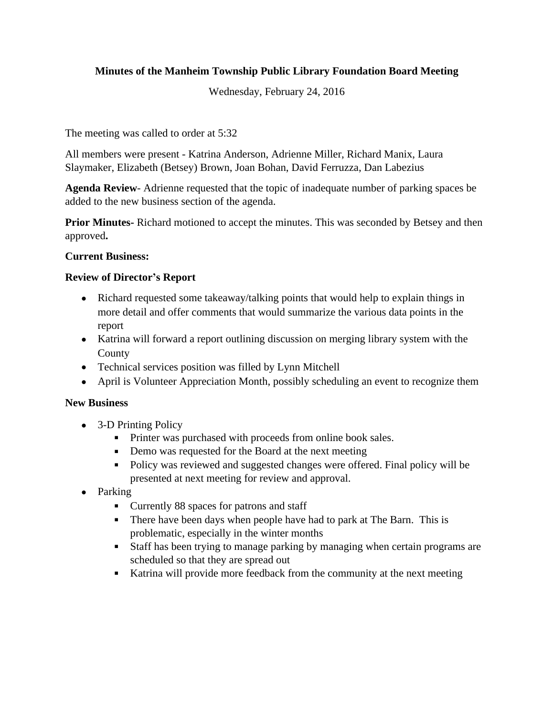# **Minutes of the Manheim Township Public Library Foundation Board Meeting**

Wednesday, February 24, 2016

The meeting was called to order at 5:32

All members were present - Katrina Anderson, Adrienne Miller, Richard Manix, Laura Slaymaker, Elizabeth (Betsey) Brown, Joan Bohan, David Ferruzza, Dan Labezius

**Agenda Review**- Adrienne requested that the topic of inadequate number of parking spaces be added to the new business section of the agenda.

**Prior Minutes-** Richard motioned to accept the minutes. This was seconded by Betsey and then approved**.**

### **Current Business:**

# **Review of Director's Report**

- Richard requested some takeaway/talking points that would help to explain things in more detail and offer comments that would summarize the various data points in the report
- Katrina will forward a report outlining discussion on merging library system with the County
- Technical services position was filled by Lynn Mitchell
- April is Volunteer Appreciation Month, possibly scheduling an event to recognize them

### **New Business**

- 3-D Printing Policy
	- **Printer was purchased with proceeds from online book sales.**
	- Demo was requested for the Board at the next meeting
	- Policy was reviewed and suggested changes were offered. Final policy will be presented at next meeting for review and approval.
- Parking
	- Currently 88 spaces for patrons and staff
	- There have been days when people have had to park at The Barn. This is problematic, especially in the winter months
	- Staff has been trying to manage parking by managing when certain programs are scheduled so that they are spread out
	- Katrina will provide more feedback from the community at the next meeting